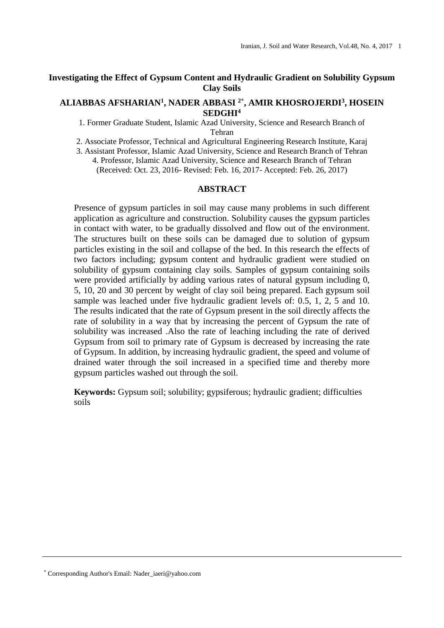# **Investigating the Effect of Gypsum Content and Hydraulic Gradient on Solubility Gypsum Clay Soils**

## **ALIABBAS AFSHARIAN<sup>1</sup> , NADER ABBASI 2\* , AMIR KHOSROJERDI<sup>3</sup> , HOSEIN SEDGHI<sup>4</sup>**

1. Former Graduate Student, Islamic Azad University, Science and Research Branch of Tehran

2. Associate Professor, Technical and Agricultural Engineering Research Institute, Karaj

3. Assistant Professor, Islamic Azad University, Science and Research Branch of Tehran 4. Professor, Islamic Azad University, Science and Research Branch of Tehran (Received: Oct. 23, 2016- Revised: Feb. 16, 2017- Accepted: Feb. 26, 2017)

## **ABSTRACT**

Presence of gypsum particles in soil may cause many problems in such different application as agriculture and construction. Solubility causes the gypsum particles in contact with water, to be gradually dissolved and flow out of the environment. The structures built on these soils can be damaged due to solution of gypsum particles existing in the soil and collapse of the bed. In this research the effects of two factors including; gypsum content and hydraulic gradient were studied on solubility of gypsum containing clay soils. Samples of gypsum containing soils were provided artificially by adding various rates of natural gypsum including 0, 5, 10, 20 and 30 percent by weight of clay soil being prepared. Each gypsum soil sample was leached under five hydraulic gradient levels of: 0.5, 1, 2, 5 and 10. The results indicated that the rate of Gypsum present in the soil directly affects the rate of solubility in a way that by increasing the percent of Gypsum the rate of solubility was increased .Also the rate of leaching including the rate of derived Gypsum from soil to primary rate of Gypsum is decreased by increasing the rate of Gypsum. In addition, by increasing hydraulic gradient, the speed and volume of drained water through the soil increased in a specified time and thereby more gypsum particles washed out through the soil.

**Keywords:** Gypsum soil; solubility; gypsiferous; hydraulic gradient; difficulties soils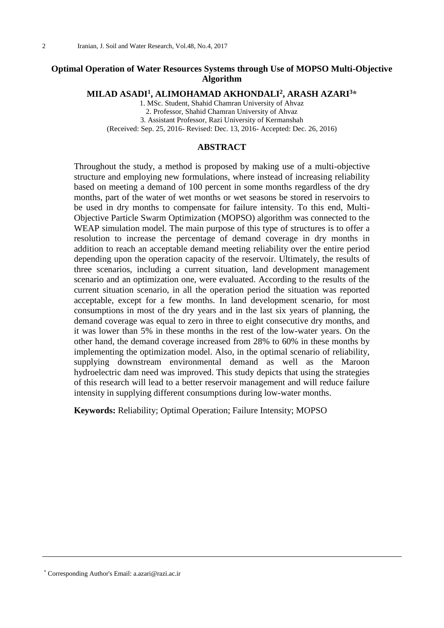# **Optimal Operation of Water Resources Systems through Use of MOPSO Multi-Objective Algorithm**

**MILAD ASADI<sup>1</sup> , ALIMOHAMAD AKHONDALI<sup>2</sup> , ARASH AZARI<sup>3</sup>\***

1. MSc. Student, Shahid Chamran University of Ahvaz 2. Professor, Shahid Chamran University of Ahvaz 3. Assistant Professor, Razi University of Kermanshah (Received: Sep. 25, 2016- Revised: Dec. 13, 2016- Accepted: Dec. 26, 2016)

## **ABSTRACT**

Throughout the study, a method is proposed by making use of a multi-objective structure and employing new formulations, where instead of increasing reliability based on meeting a demand of 100 percent in some months regardless of the dry months, part of the water of wet months or wet seasons be stored in reservoirs to be used in dry months to compensate for failure intensity. To this end, Multi-Objective Particle Swarm Optimization (MOPSO) algorithm was connected to the WEAP simulation model. The main purpose of this type of structures is to offer a resolution to increase the percentage of demand coverage in dry months in addition to reach an acceptable demand meeting reliability over the entire period depending upon the operation capacity of the reservoir. Ultimately, the results of three scenarios, including a current situation, land development management scenario and an optimization one, were evaluated. According to the results of the current situation scenario, in all the operation period the situation was reported acceptable, except for a few months. In land development scenario, for most consumptions in most of the dry years and in the last six years of planning, the demand coverage was equal to zero in three to eight consecutive dry months, and it was lower than 5% in these months in the rest of the low-water years. On the other hand, the demand coverage increased from 28% to 60% in these months by implementing the optimization model. Also, in the optimal scenario of reliability, supplying downstream environmental demand as well as the Maroon hydroelectric dam need was improved. This study depicts that using the strategies of this research will lead to a better reservoir management and will reduce failure intensity in supplying different consumptions during low-water months.

**Keywords:** Reliability; Optimal Operation; Failure Intensity; MOPSO

\* Corresponding Author's Email: a.azari@razi.ac.ir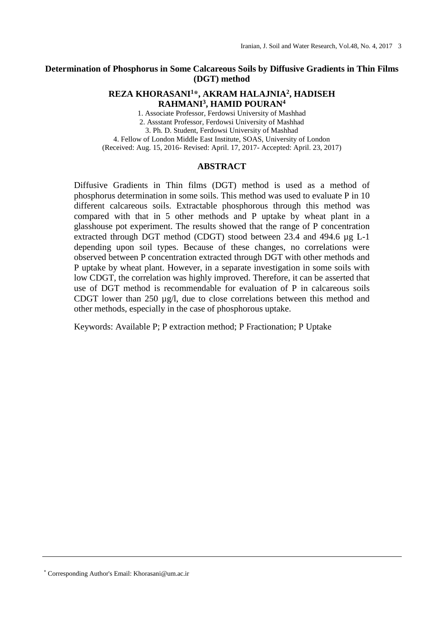# **Determination of Phosphorus in Some Calcareous Soils by Diffusive Gradients in Thin Films (DGT) method**

# **REZA KHORASANI<sup>1</sup>\*, AKRAM HALAJNIA<sup>2</sup> , HADISEH RAHMANI<sup>3</sup> , HAMID POURAN<sup>4</sup>**

1. Associate Professor, Ferdowsi University of Mashhad 2. Assstant Professor, Ferdowsi University of Mashhad 3. Ph. D. Student, Ferdowsi University of Mashhad 4. Fellow of London Middle East Institute, SOAS, University of London (Received: Aug. 15, 2016- Revised: April. 17, 2017- Accepted: April. 23, 2017)

## **ABSTRACT**

Diffusive Gradients in Thin films (DGT) method is used as a method of phosphorus determination in some soils. This method was used to evaluate P in 10 different calcareous soils. Extractable phosphorous through this method was compared with that in 5 other methods and P uptake by wheat plant in a glasshouse pot experiment. The results showed that the range of P concentration extracted through DGT method (CDGT) stood between 23.4 and 494.6 µg L-1 depending upon soil types. Because of these changes, no correlations were observed between P concentration extracted through DGT with other methods and P uptake by wheat plant. However, in a separate investigation in some soils with low CDGT, the correlation was highly improved. Therefore, it can be asserted that use of DGT method is recommendable for evaluation of P in calcareous soils CDGT lower than 250 µg/l, due to close correlations between this method and other methods, especially in the case of phosphorous uptake.

Keywords: Available P; P extraction method; P Fractionation; P Uptake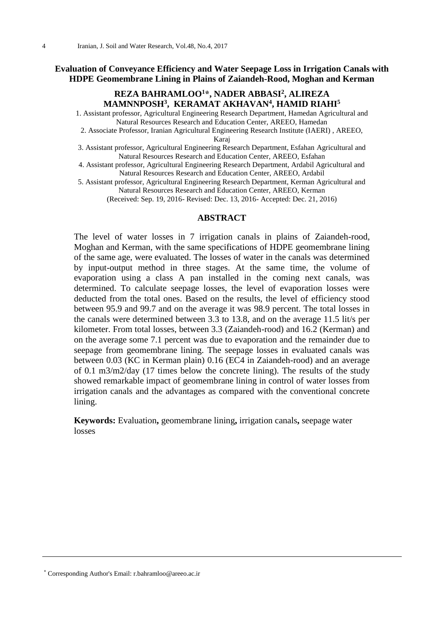# **Evaluation of Conveyance Efficiency and Water Seepage Loss in Irrigation Canals with HDPE Geomembrane Lining in Plains of Zaiandeh-Rood, Moghan and Kerman**

# **REZA BAHRAMLOO<sup>1</sup>\*, NADER ABBASI<sup>2</sup> , ALIREZA MAMNNPOSH<sup>3</sup> , KERAMAT AKHAVAN<sup>4</sup> , HAMID RIAHI<sup>5</sup>**

1. Assistant professor, Agricultural Engineering Research Department, Hamedan Agricultural and Natural Resources Research and Education Center, AREEO, Hamedan

2. Associate Professor, Iranian Agricultural Engineering Research Institute (IAERI) , AREEO, Karaj

3. Assistant professor, Agricultural Engineering Research Department, Esfahan Agricultural and Natural Resources Research and Education Center, AREEO, Esfahan

4. Assistant professor, Agricultural Engineering Research Department, Ardabil Agricultural and Natural Resources Research and Education Center, AREEO, Ardabil

5. Assistant professor, Agricultural Engineering Research Department, Kerman Agricultural and Natural Resources Research and Education Center, AREEO, Kerman

(Received: Sep. 19, 2016- Revised: Dec. 13, 2016- Accepted: Dec. 21, 2016)

#### **ABSTRACT**

The level of water losses in 7 irrigation canals in plains of Zaiandeh-rood, Moghan and Kerman, with the same specifications of HDPE geomembrane lining of the same age, were evaluated. The losses of water in the canals was determined by input-output method in three stages. At the same time, the volume of evaporation using a class A pan installed in the coming next canals, was determined. To calculate seepage losses, the level of evaporation losses were deducted from the total ones. Based on the results, the level of efficiency stood between 95.9 and 99.7 and on the average it was 98.9 percent. The total losses in the canals were determined between 3.3 to 13.8, and on the average 11.5 lit/s per kilometer. From total losses, between 3.3 (Zaiandeh-rood) and 16.2 (Kerman) and on the average some 7.1 percent was due to evaporation and the remainder due to seepage from geomembrane lining. The seepage losses in evaluated canals was between 0.03 (KC in Kerman plain) 0.16 (EC4 in Zaiandeh-rood) and an average of 0.1 m3/m2/day (17 times below the concrete lining). The results of the study showed remarkable impact of geomembrane lining in control of water losses from irrigation canals and the advantages as compared with the conventional concrete lining.

**Keywords:** Evaluation**,** geomembrane lining**,** irrigation canals**,** seepage water losses

\* Corresponding Author's Email: r.bahramloo@areeo.ac.ir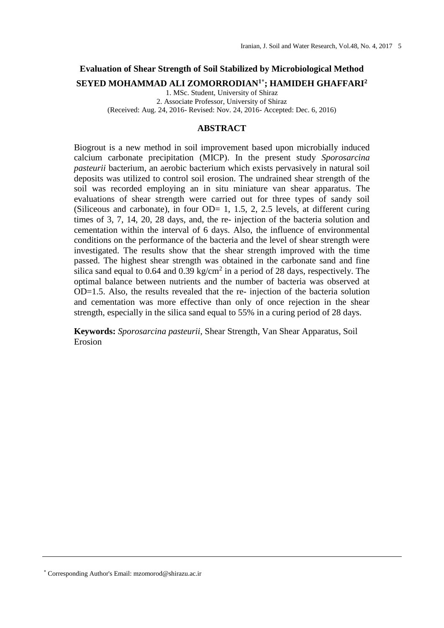# **Evaluation of Shear Strength of Soil Stabilized by Microbiological Method**

**SEYED MOHAMMAD ALI ZOMORRODIAN1\* ; HAMIDEH GHAFFARI<sup>2</sup>**

1. MSc. Student, University of Shiraz 2. Associate Professor, University of Shiraz (Received: Aug. 24, 2016- Revised: Nov. 24, 2016- Accepted: Dec. 6, 2016)

## **ABSTRACT**

Biogrout is a new method in soil improvement based upon microbially induced calcium carbonate precipitation (MICP). In the present study *Sporosarcina pasteurii* bacterium, an aerobic bacterium which exists pervasively in natural soil deposits was utilized to control soil erosion. The undrained shear strength of the soil was recorded employing an in situ miniature van shear apparatus. The evaluations of shear strength were carried out for three types of sandy soil (Siliceous and carbonate), in four  $OD= 1, 1.5, 2, 2.5$  levels, at different curing times of 3, 7, 14, 20, 28 days, and, the re- injection of the bacteria solution and cementation within the interval of 6 days. Also, the influence of environmental conditions on the performance of the bacteria and the level of shear strength were investigated. The results show that the shear strength improved with the time passed. The highest shear strength was obtained in the carbonate sand and fine silica sand equal to 0.64 and 0.39 kg/cm<sup>2</sup> in a period of 28 days, respectively. The optimal balance between nutrients and the number of bacteria was observed at OD=1.5. Also, the results revealed that the re- injection of the bacteria solution and cementation was more effective than only of once rejection in the shear strength, especially in the silica sand equal to 55% in a curing period of 28 days.

**Keywords:** *Sporosarcina pasteurii*, Shear Strength, Van Shear Apparatus, Soil Erosion

\* Corresponding Author's Email: mzomorod@shirazu.ac.ir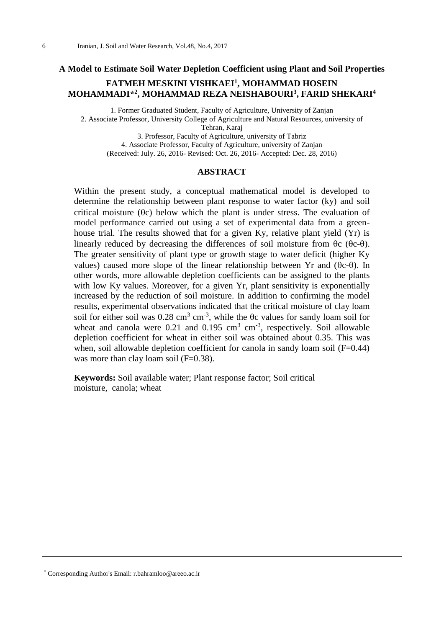#### **A Model to Estimate Soil Water Depletion Coefficient using Plant and Soil Properties**

# **FATMEH MESKINI VISHKAEI<sup>1</sup> , MOHAMMAD HOSEIN MOHAMMADI\* 2 , MOHAMMAD REZA NEISHABOURI<sup>3</sup> , FARID SHEKARI<sup>4</sup>**

1. Former Graduated Student, Faculty of Agriculture, University of Zanjan 2. Associate Professor, University College of Agriculture and Natural Resources, university of Tehran, Karaj 3. Professor, Faculty of Agriculture, university of Tabriz 4. Associate Professor, Faculty of Agriculture, university of Zanjan (Received: July. 26, 2016- Revised: Oct. 26, 2016- Accepted: Dec. 28, 2016)

#### **ABSTRACT**

Within the present study, a conceptual mathematical model is developed to determine the relationship between plant response to water factor (ky) and soil critical moisture  $(\theta c)$  below which the plant is under stress. The evaluation of model performance carried out using a set of experimental data from a greenhouse trial. The results showed that for a given Ky, relative plant yield (Yr) is linearly reduced by decreasing the differences of soil moisture from  $\theta$ c ( $\theta$ c- $\theta$ ). The greater sensitivity of plant type or growth stage to water deficit (higher Ky values) caused more slope of the linear relationship between Yr and  $(\theta c-\theta)$ . In other words, more allowable depletion coefficients can be assigned to the plants with low Ky values. Moreover, for a given Yr, plant sensitivity is exponentially increased by the reduction of soil moisture. In addition to confirming the model results, experimental observations indicated that the critical moisture of clay loam soil for either soil was  $0.28 \text{ cm}^3 \text{ cm}^{-3}$ , while the  $\theta$ c values for sandy loam soil for wheat and canola were  $0.21$  and  $0.195$  cm<sup>3</sup> cm<sup>3</sup>, respectively. Soil allowable depletion coefficient for wheat in either soil was obtained about 0.35. This was when, soil allowable depletion coefficient for canola in sandy loam soil (F=0.44) was more than clay loam soil (F=0.38).

**Keywords:** Soil available water; Plant response factor; Soil critical moisture, canola; wheat

<sup>\*</sup> Corresponding Author's Email: r.bahramloo@areeo.ac.ir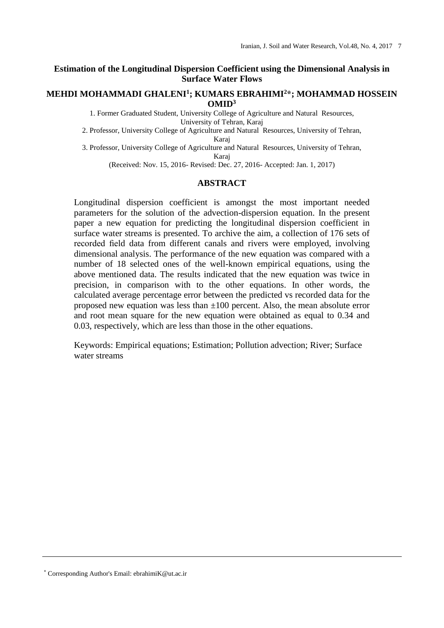## **Estimation of the Longitudinal Dispersion Coefficient using the Dimensional Analysis in Surface Water Flows**

## **MEHDI MOHAMMADI GHALENI<sup>1</sup> ; KUMARS EBRAHIMI<sup>2</sup>\*; MOHAMMAD HOSSEIN OMID<sup>3</sup>**

1. Former Graduated Student, University College of Agriculture and Natural Resources, University of Tehran, Karaj

2. Professor, University College of Agriculture and Natural Resources, University of Tehran, Karaj

3. Professor, University College of Agriculture and Natural Resources, University of Tehran, Karaj

(Received: Nov. 15, 2016- Revised: Dec. 27, 2016- Accepted: Jan. 1, 2017)

# **ABSTRACT**

Longitudinal dispersion coefficient is amongst the most important needed parameters for the solution of the advection-dispersion equation. In the present paper a new equation for predicting the longitudinal dispersion coefficient in surface water streams is presented. To archive the aim, a collection of 176 sets of recorded field data from different canals and rivers were employed, involving dimensional analysis. The performance of the new equation was compared with a number of 18 selected ones of the well-known empirical equations, using the above mentioned data. The results indicated that the new equation was twice in precision, in comparison with to the other equations. In other words, the calculated average percentage error between the predicted vs recorded data for the proposed new equation was less than  $\pm 100$  percent. Also, the mean absolute error and root mean square for the new equation were obtained as equal to 0.34 and 0.03, respectively, which are less than those in the other equations.

Keywords: Empirical equations; Estimation; Pollution advection; River; Surface water streams

\* Corresponding Author's Email: ebrahimiK@ut.ac.ir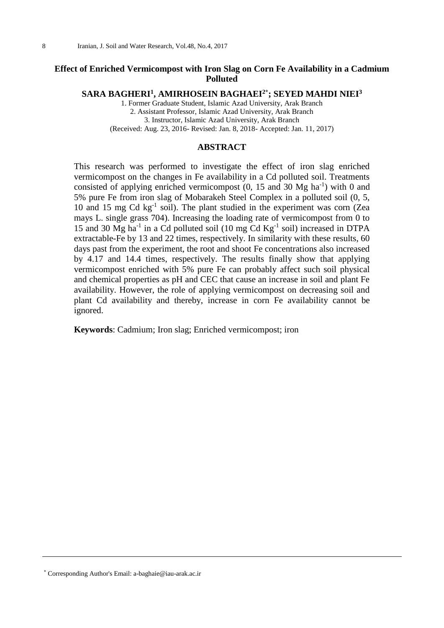# **Effect of Enriched Vermicompost with Iron Slag on Corn Fe Availability in a Cadmium Polluted**

**SARA BAGHERI<sup>1</sup> , AMIRHOSEIN BAGHAEI2\* ; SEYED MAHDI NIEI<sup>3</sup>**

1. Former Graduate Student, Islamic Azad University, Arak Branch 2. Assistant Professor, Islamic Azad University, Arak Branch 3. Instructor, Islamic Azad University, Arak Branch (Received: Aug. 23, 2016- Revised: Jan. 8, 2018- Accepted: Jan. 11, 2017)

## **ABSTRACT**

This research was performed to investigate the effect of iron slag enriched vermicompost on the changes in Fe availability in a Cd polluted soil. Treatments consisted of applying enriched vermicompost  $(0, 15 \text{ and } 30 \text{ Mg ha}^{-1})$  with 0 and 5% pure Fe from iron slag of Mobarakeh Steel Complex in a polluted soil (0, 5, 10 and 15 mg Cd kg<sup>-1</sup> soil). The plant studied in the experiment was corn (Zea mays L. single grass 704). Increasing the loading rate of vermicompost from 0 to 15 and 30 Mg ha<sup>-1</sup> in a Cd polluted soil (10 mg Cd  $\text{Kg}^{-1}$  soil) increased in DTPA extractable-Fe by 13 and 22 times, respectively. In similarity with these results, 60 days past from the experiment, the root and shoot Fe concentrations also increased by 4.17 and 14.4 times, respectively. The results finally show that applying vermicompost enriched with 5% pure Fe can probably affect such soil physical and chemical properties as pH and CEC that cause an increase in soil and plant Fe availability. However, the role of applying vermicompost on decreasing soil and plant Cd availability and thereby, increase in corn Fe availability cannot be ignored.

**Keywords**: Cadmium; Iron slag; Enriched vermicompost; iron

\* Corresponding Author's Email: a-baghaie@iau-arak.ac.ir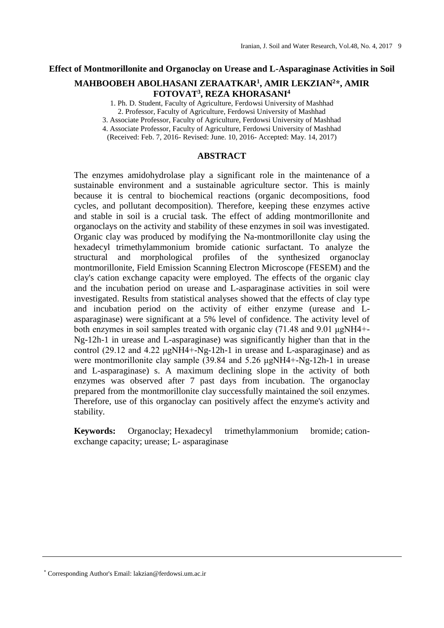## **Effect of Montmorillonite and Organoclay on Urease and L-Asparaginase Activities in Soil**

# **MAHBOOBEH ABOLHASANI ZERAATKAR<sup>1</sup> , AMIR LEKZIAN<sup>2</sup>\*, AMIR FOTOVAT<sup>3</sup> , REZA KHORASANI<sup>4</sup>**

1. Ph. D. Student, Faculty of Agriculture, Ferdowsi University of Mashhad 2. Professor, Faculty of Agriculture, Ferdowsi University of Mashhad

3. Associate Professor, Faculty of Agriculture, Ferdowsi University of Mashhad

4. Associate Professor, Faculty of Agriculture, Ferdowsi University of Mashhad

(Received: Feb. 7, 2016- Revised: June. 10, 2016- Accepted: May. 14, 2017)

#### **ABSTRACT**

The enzymes amidohydrolase play a significant role in the maintenance of a sustainable environment and a sustainable agriculture sector. This is mainly because it is central to biochemical reactions (organic decompositions, food cycles, and pollutant decomposition). Therefore, keeping these enzymes active and stable in soil is a crucial task. The effect of adding montmorillonite and organoclays on the activity and stability of these enzymes in soil was investigated. Organic clay was produced by modifying the Na-montmorillonite clay using the hexadecyl trimethylammonium bromide cationic surfactant. To analyze the structural and morphological profiles of the synthesized organoclay montmorillonite, Field Emission Scanning Electron Microscope (FESEM) and the clay's cation exchange capacity were employed. The effects of the organic clay and the incubation period on urease and L-asparaginase activities in soil were investigated. Results from statistical analyses showed that the effects of clay type and incubation period on the activity of either enzyme (urease and Lasparaginase) were significant at a 5% level of confidence. The activity level of both enzymes in soil samples treated with organic clay (71.48 and 9.01 μgNH4+- Ng-12h-1 in urease and L-asparaginase) was significantly higher than that in the control (29.12 and 4.22 μgNH4+-Ng-12h-1 in urease and L-asparaginase) and as were montmorillonite clay sample (39.84 and 5.26 μgNH4+-Ng-12h-1 in urease and L-asparaginase) s. A maximum declining slope in the activity of both enzymes was observed after 7 past days from incubation. The organoclay prepared from the montmorillonite clay successfully maintained the soil enzymes. Therefore, use of this organoclay can positively affect the enzyme's activity and stability.

**Keywords:** Organoclay; Hexadecyl trimethylammonium bromide; cationexchange capacity; urease; L- asparaginase

<sup>\*</sup> Corresponding Author's Email: lakzian@ferdowsi.um.ac.ir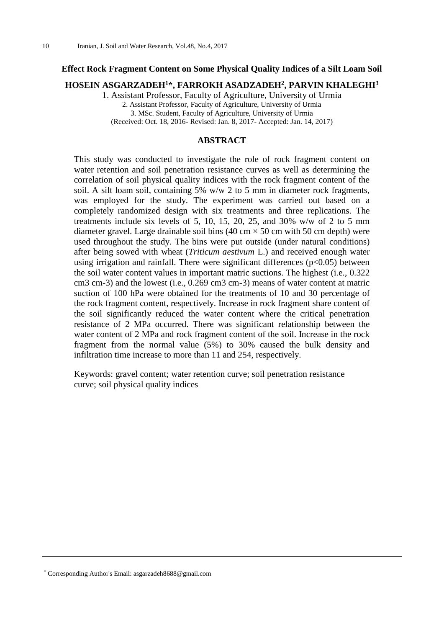## **Effect Rock Fragment Content on Some Physical Quality Indices of a Silt Loam Soil**

## **HOSEIN ASGARZADEH<sup>1</sup>\*, FARROKH ASADZADEH<sup>2</sup> , PARVIN KHALEGHI<sup>3</sup>**

1. Assistant Professor, Faculty of Agriculture, University of Urmia

2. Assistant Professor, Faculty of Agriculture, University of Urmia 3. MSc. Student, Faculty of Agriculture, University of Urmia (Received: Oct. 18, 2016- Revised: Jan. 8, 2017- Accepted: Jan. 14, 2017)

#### **ABSTRACT**

This study was conducted to investigate the role of rock fragment content on water retention and soil penetration resistance curves as well as determining the correlation of soil physical quality indices with the rock fragment content of the soil. A silt loam soil, containing 5% w/w 2 to 5 mm in diameter rock fragments, was employed for the study. The experiment was carried out based on a completely randomized design with six treatments and three replications. The treatments include six levels of 5, 10, 15, 20, 25, and 30%  $w/w$  of 2 to 5 mm diameter gravel. Large drainable soil bins  $(40 \text{ cm} \times 50 \text{ cm} \text{ with } 50 \text{ cm} \text{ depth})$  were used throughout the study. The bins were put outside (under natural conditions) after being sowed with wheat (*Triticum aestivum* L.) and received enough water using irrigation and rainfall. There were significant differences  $(p<0.05)$  between the soil water content values in important matric suctions. The highest (i.e., 0.322 cm3 cm-3) and the lowest (i.e., 0.269 cm3 cm-3) means of water content at matric suction of 100 hPa were obtained for the treatments of 10 and 30 percentage of the rock fragment content, respectively. Increase in rock fragment share content of the soil significantly reduced the water content where the critical penetration resistance of 2 MPa occurred. There was significant relationship between the water content of 2 MPa and rock fragment content of the soil. Increase in the rock fragment from the normal value (5%) to 30% caused the bulk density and infiltration time increase to more than 11 and 254, respectively.

Keywords: gravel content; water retention curve; soil penetration resistance curve; soil physical quality indices

\* Corresponding Author's Email: asgarzadeh8688@gmail.com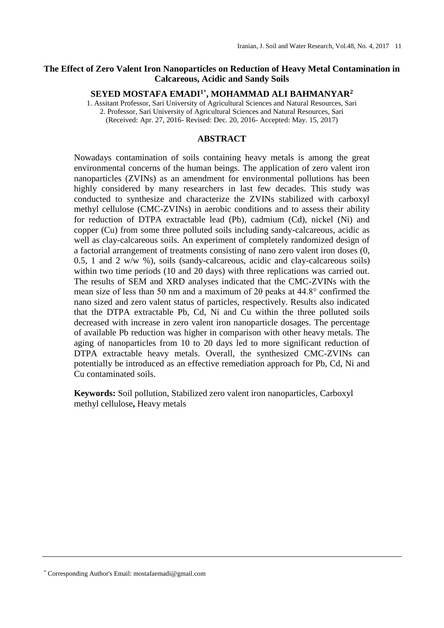# **The Effect of Zero Valent Iron Nanoparticles on Reduction of Heavy Metal Contamination in Calcareous, Acidic and Sandy Soils**

## **SEYED MOSTAFA EMADI1\* , MOHAMMAD ALI BAHMANYAR<sup>2</sup>**

1. Assitant Professor, Sari University of Agricultural Sciences and Natural Resources, Sari 2. Professor, Sari University of Agricultural Sciences and Natural Resources, Sari (Received: Apr. 27, 2016- Revised: Dec. 20, 2016- Accepted: May. 15, 2017)

## **ABSTRACT**

Nowadays contamination of soils containing heavy metals is among the great environmental concerns of the human beings. The application of zero valent iron nanoparticles (ZVINs) as an amendment for environmental pollutions has been highly considered by many researchers in last few decades. This study was conducted to synthesize and characterize the ZVINs stabilized with carboxyl methyl cellulose (CMC-ZVINs) in aerobic conditions and to assess their ability for reduction of DTPA extractable lead (Pb), cadmium (Cd), nickel (Ni) and copper (Cu) from some three polluted soils including sandy-calcareous, acidic as well as clay-calcareous soils. An experiment of completely randomized design of a factorial arrangement of treatments consisting of nano zero valent iron doses (0, 0.5, 1 and 2 w/w %), soils (sandy-calcareous, acidic and clay-calcareous soils) within two time periods (10 and 20 days) with three replications was carried out. The results of SEM and XRD analyses indicated that the CMC-ZVINs with the mean size of less than 50 nm and a maximum of 2θ peaks at 44.8° confirmed the nano sized and zero valent status of particles, respectively. Results also indicated that the DTPA extractable Pb, Cd, Ni and Cu within the three polluted soils decreased with increase in zero valent iron nanoparticle dosages. The percentage of available Pb reduction was higher in comparison with other heavy metals. The aging of nanoparticles from 10 to 20 days led to more significant reduction of DTPA extractable heavy metals. Overall, the synthesized CMC-ZVINs can potentially be introduced as an effective remediation approach for Pb, Cd, Ni and Cu contaminated soils.

**Keywords:** Soil pollution, Stabilized zero valent iron nanoparticles, Carboxyl methyl cellulose**,** Heavy metals

<sup>\*</sup> Corresponding Author's Email: mostafaemadi@gmail.com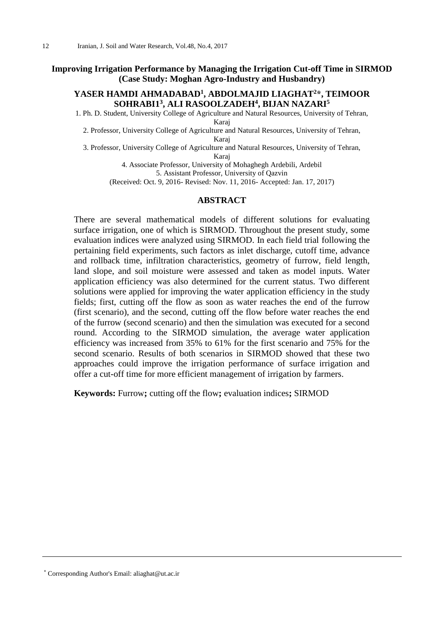## **Improving Irrigation Performance by Managing the Irrigation Cut-off Time in SIRMOD (Case Study: Moghan Agro-Industry and Husbandry)**

# **YASER HAMDI AHMADABAD<sup>1</sup> , ABDOLMAJID LIAGHAT<sup>2</sup>\*, TEIMOOR SOHRABI1 3 , ALI RASOOLZADEH<sup>4</sup> , BIJAN NAZARI<sup>5</sup>**

1. Ph. D. Student, University College of Agriculture and Natural Resources, University of Tehran, Karaj

2. Professor, University College of Agriculture and Natural Resources, University of Tehran, Karaj

3. Professor, University College of Agriculture and Natural Resources, University of Tehran, Karaj

> 4. Associate Professor, University of Mohaghegh Ardebili, Ardebil 5. Assistant Professor, University of Qazvin

(Received: Oct. 9, 2016- Revised: Nov. 11, 2016- Accepted: Jan. 17, 2017)

## **ABSTRACT**

There are several mathematical models of different solutions for evaluating surface irrigation, one of which is SIRMOD. Throughout the present study, some evaluation indices were analyzed using SIRMOD. In each field trial following the pertaining field experiments, such factors as inlet discharge, cutoff time, advance and rollback time, infiltration characteristics, geometry of furrow, field length, land slope, and soil moisture were assessed and taken as model inputs. Water application efficiency was also determined for the current status. Two different solutions were applied for improving the water application efficiency in the study fields; first, cutting off the flow as soon as water reaches the end of the furrow (first scenario), and the second, cutting off the flow before water reaches the end of the furrow (second scenario) and then the simulation was executed for a second round. According to the SIRMOD simulation, the average water application efficiency was increased from 35% to 61% for the first scenario and 75% for the second scenario. Results of both scenarios in SIRMOD showed that these two approaches could improve the irrigation performance of surface irrigation and offer a cut-off time for more efficient management of irrigation by farmers.

**Keywords:** Furrow**;** cutting off the flow**;** evaluation indices**;** SIRMOD

<sup>\*</sup> Corresponding Author's Email: aliaghat@ut.ac.ir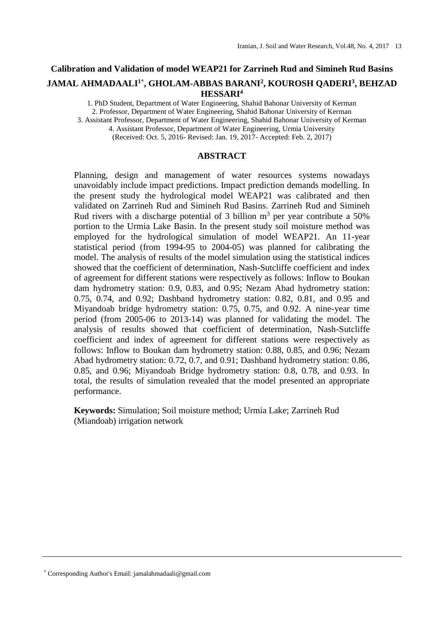# **Calibration and Validation of model WEAP21 for Zarrineh Rud and Simineh Rud Basins JAMAL AHMADAALI1\* , GHOLAM-ABBAS BARANI<sup>2</sup> , KOUROSH QADERI<sup>3</sup> , BEHZAD HESSARI<sup>4</sup>**

1. PhD Student, Department of Water Engineering, Shahid Bahonar University of Kerman 2. Professor, Department of Water Engineering, Shahid Bahonar University of Kerman 3. Assistant Professor, Department of Water Engineering, Shahid Bahonar University of Kerman 4. Assistant Professor, Department of Water Engineering, Urmia University (Received: Oct. 5, 2016- Revised: Jan. 19, 2017- Accepted: Feb. 2, 2017)

## **ABSTRACT**

Planning, design and management of water resources systems nowadays unavoidably include impact predictions. Impact prediction demands modelling. In the present study the hydrological model WEAP21 was calibrated and then validated on Zarrineh Rud and Simineh Rud Basins. Zarrineh Rud and Simineh Rud rivers with a discharge potential of 3 billion  $m<sup>3</sup>$  per year contribute a 50% portion to the Urmia Lake Basin. In the present study soil moisture method was employed for the hydrological simulation of model WEAP21. An 11-year statistical period (from 1994-95 to 2004-05) was planned for calibrating the model. The analysis of results of the model simulation using the statistical indices showed that the coefficient of determination, Nash-Sutcliffe coefficient and index of agreement for different stations were respectively as follows: Inflow to Boukan dam hydrometry station: 0.9, 0.83, and 0.95; Nezam Abad hydrometry station: 0.75, 0.74, and 0.92; Dashband hydrometry station: 0.82, 0.81, and 0.95 and Miyandoab bridge hydrometry station: 0.75, 0.75, and 0.92. A nine-year time period (from 2005-06 to 2013-14) was planned for validating the model. The analysis of results showed that coefficient of determination, Nash-Sutcliffe coefficient and index of agreement for different stations were respectively as follows: Inflow to Boukan dam hydrometry station: 0.88, 0.85, and 0.96; Nezam Abad hydrometry station: 0.72, 0.7, and 0.91; Dashband hydrometry station: 0.86, 0.85, and 0.96; Miyandoab Bridge hydrometry station: 0.8, 0.78, and 0.93. In total, the results of simulation revealed that the model presented an appropriate performance.

**Keywords:** Simulation; Soil moisture method; Urmia Lake; Zarrineh Rud (Miandoab) irrigation network

<sup>\*</sup> Corresponding Author's Email: jamalahmadaali@gmail.com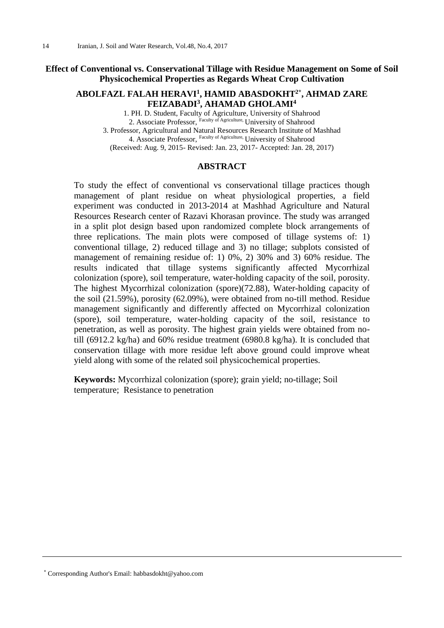# **Effect of Conventional vs. Conservational Tillage with Residue Management on Some of Soil Physicochemical Properties as Regards Wheat Crop Cultivation**

# **ABOLFAZL FALAH HERAVI<sup>1</sup> , HAMID ABASDOKHT2\* , AHMAD ZARE FEIZABADI<sup>3</sup> , AHAMAD GHOLAMI<sup>4</sup>**

1. PH. D. Student, Faculty of Agriculture, University of Shahrood 2. Associate Professor, Faculty of Agriculture, University of Shahrood 3. Professor, Agricultural and Natural Resources Research Institute of Mashhad 4. Associate Professor, Faculty of Agriculture, University of Shahrood (Received: Aug. 9, 2015- Revised: Jan. 23, 2017- Accepted: Jan. 28, 2017)

#### **ABSTRACT**

To study the effect of conventional vs conservational tillage practices though management of plant residue on wheat physiological properties, a field experiment was conducted in 2013-2014 at Mashhad Agriculture and Natural Resources Research center of Razavi Khorasan province. The study was arranged in a split plot design based upon randomized complete block arrangements of three replications. The main plots were composed of tillage systems of: 1) conventional tillage, 2) reduced tillage and 3) no tillage; subplots consisted of management of remaining residue of: 1) 0%, 2) 30% and 3) 60% residue. The results indicated that tillage systems significantly affected Mycorrhizal colonization (spore), soil temperature, water-holding capacity of the soil, porosity. The highest Mycorrhizal colonization (spore)(72.88), Water-holding capacity of the soil (21.59%), porosity (62.09%), were obtained from no-till method. Residue management significantly and differently affected on Mycorrhizal colonization (spore), soil temperature, water-holding capacity of the soil, resistance to penetration, as well as porosity. The highest grain yields were obtained from notill (6912.2 kg/ha) and 60% residue treatment (6980.8 kg/ha). It is concluded that conservation tillage with more residue left above ground could improve wheat yield along with some of the related soil physicochemical properties.

**Keywords:** Mycorrhizal colonization (spore); grain yield; no-tillage; Soil temperature; Resistance to penetration

\* Corresponding Author's Email: habbasdokht@yahoo.com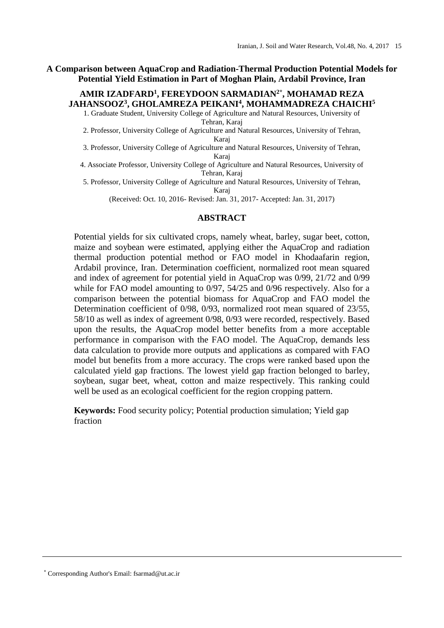**A Comparison between AquaCrop and Radiation-Thermal Production Potential Models for Potential Yield Estimation in Part of Moghan Plain, Ardabil Province, Iran**

# **AMIR IZADFARD<sup>1</sup> , FEREYDOON SARMADIAN2\* , MOHAMAD REZA JAHANSOOZ<sup>3</sup> , GHOLAMREZA PEIKANI<sup>4</sup> , MOHAMMADREZA CHAICHI<sup>5</sup>**

1. Graduate Student, University College of Agriculture and Natural Resources, University of Tehran, Karaj

2. Professor, University College of Agriculture and Natural Resources, University of Tehran, Karaj

3. Professor, University College of Agriculture and Natural Resources, University of Tehran, Karaj

4. Associate Professor, University College of Agriculture and Natural Resources, University of Tehran, Karaj

5. Professor, University College of Agriculture and Natural Resources, University of Tehran, Karaj

(Received: Oct. 10, 2016- Revised: Jan. 31, 2017- Accepted: Jan. 31, 2017)

## **ABSTRACT**

Potential yields for six cultivated crops, namely wheat, barley, sugar beet, cotton, maize and soybean were estimated, applying either the AquaCrop and radiation thermal production potential method or FAO model in Khodaafarin region, Ardabil province, Iran. Determination coefficient, normalized root mean squared and index of agreement for potential yield in AquaCrop was 0/99, 21/72 and 0/99 while for FAO model amounting to 0/97, 54/25 and 0/96 respectively. Also for a comparison between the potential biomass for AquaCrop and FAO model the Determination coefficient of 0/98, 0/93, normalized root mean squared of 23/55, 58/10 as well as index of agreement 0/98, 0/93 were recorded, respectively. Based upon the results, the AquaCrop model better benefits from a more acceptable performance in comparison with the FAO model. The AquaCrop, demands less data calculation to provide more outputs and applications as compared with FAO model but benefits from a more accuracy. The crops were ranked based upon the calculated yield gap fractions. The lowest yield gap fraction belonged to barley, soybean, sugar beet, wheat, cotton and maize respectively. This ranking could well be used as an ecological coefficient for the region cropping pattern.

**Keywords:** Food security policy; Potential production simulation; Yield gap fraction

\* Corresponding Author's Email: fsarmad@ut.ac.ir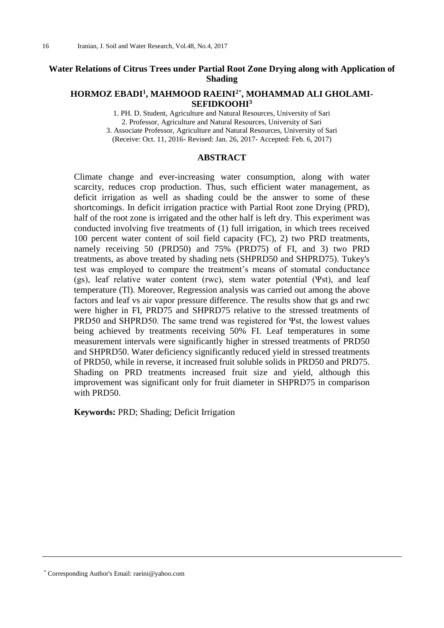# **Water Relations of Citrus Trees under Partial Root Zone Drying along with Application of Shading**

## **HORMOZ EBADI<sup>1</sup> , MAHMOOD RAEINI2\* , MOHAMMAD ALI GHOLAMI-SEFIDKOOHI<sup>3</sup>**

1. PH. D. Student, Agriculture and Natural Resources, University of Sari 2. Professor, Agriculture and Natural Resources, University of Sari 3. Associate Professor, Agriculture and Natural Resources, University of Sari (Receive: Oct. 11, 2016- Revised: Jan. 26, 2017- Accepted: Feb. 6, 2017)

#### **ABSTRACT**

Climate change and ever-increasing water consumption, along with water scarcity, reduces crop production. Thus, such efficient water management, as deficit irrigation as well as shading could be the answer to some of these shortcomings. In deficit irrigation practice with Partial Root zone Drying (PRD), half of the root zone is irrigated and the other half is left dry. This experiment was conducted involving five treatments of (1) full irrigation, in which trees received 100 percent water content of soil field capacity (FC), 2) two PRD treatments, namely receiving 50 (PRD50) and 75% (PRD75) of FI, and 3) two PRD treatments, as above treated by shading nets (SHPRD50 and SHPRD75). Tukey's test was employed to compare the treatment's means of stomatal conductance (gs), leaf relative water content (rwc), stem water potential (Ψst), and leaf temperature (Tl). Moreover, Regression analysis was carried out among the above factors and leaf vs air vapor pressure difference. The results show that gs and rwc were higher in FI, PRD75 and SHPRD75 relative to the stressed treatments of PRD50 and SHPRD50. The same trend was registered for Ψst, the lowest values being achieved by treatments receiving 50% FI. Leaf temperatures in some measurement intervals were significantly higher in stressed treatments of PRD50 and SHPRD50. Water deficiency significantly reduced yield in stressed treatments of PRD50, while in reverse, it increased fruit soluble solids in PRD50 and PRD75. Shading on PRD treatments increased fruit size and yield, although this improvement was significant only for fruit diameter in SHPRD75 in comparison with PRD50.

**Keywords:** PRD; Shading; Deficit Irrigation

\* Corresponding Author's Email: raeini@yahoo.com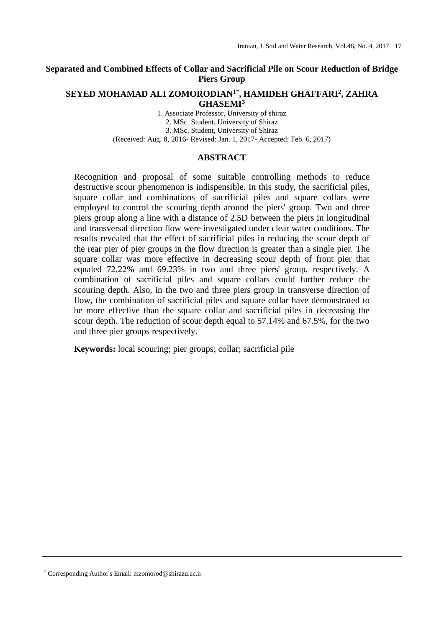# **Separated and Combined Effects of Collar and Sacrificial Pile on Scour Reduction of Bridge Piers Group**

## **SEYED MOHAMAD ALI ZOMORODIAN1\* , HAMIDEH GHAFFARI<sup>2</sup> , ZAHRA GHASEMI<sup>3</sup>**

1. Associate Professor, University of shiraz 2. MSc. Student, University of Shiraz 3. MSc. Student, University of Shiraz (Received: Aug. 8, 2016- Revised: Jan. 1, 2017- Accepted: Feb. 6, 2017)

## **ABSTRACT**

Recognition and proposal of some suitable controlling methods to reduce destructive scour phenomenon is indispensible. In this study, the sacrificial piles, square collar and combinations of sacrificial piles and square collars were employed to control the scouring depth around the piers' group. Two and three piers group along a line with a distance of 2.5D between the piers in longitudinal and transversal direction flow were investigated under clear water conditions. The results revealed that the effect of sacrificial piles in reducing the scour depth of the rear pier of pier groups in the flow direction is greater than a single pier. The square collar was more effective in decreasing scour depth of front pier that equaled 72.22% and 69.23% in two and three piers' group, respectively. A combination of sacrificial piles and square collars could further reduce the scouring depth. Also, in the two and three piers group in transverse direction of flow, the combination of sacrificial piles and square collar have demonstrated to be more effective than the square collar and sacrificial piles in decreasing the scour depth. The reduction of scour depth equal to 57.14% and 67.5%, for the two and three pier groups respectively.

**Keywords:** local scouring; pier groups; collar; sacrificial pile

\* Corresponding Author's Email: mzomorod@shirazu.ac.ir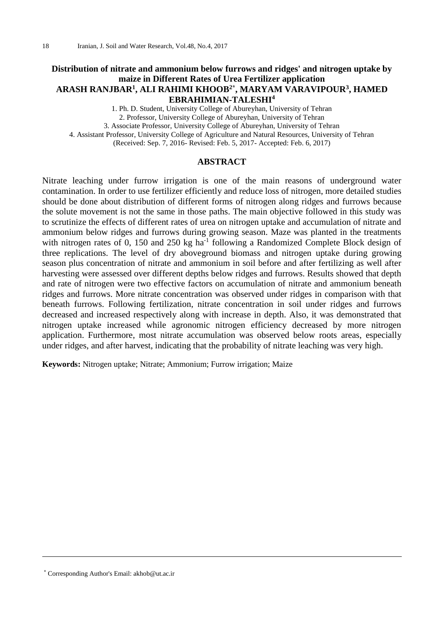# **Distribution of nitrate and ammonium below furrows and ridges' and nitrogen uptake by maize in Different Rates of Urea Fertilizer application ARASH RANJBAR<sup>1</sup> , ALI RAHIMI KHOOB2\* , MARYAM VARAVIPOUR<sup>3</sup> , HAMED EBRAHIMIAN-TALESHI<sup>4</sup>**

1. Ph. D. Student, University College of Abureyhan, University of Tehran 2. Professor, University College of Abureyhan, University of Tehran

3. Associate Professor, University College of Abureyhan, University of Tehran

4. Assistant Professor, University College of Agriculture and Natural Resources, University of Tehran

(Received: Sep. 7, 2016- Revised: Feb. 5, 2017- Accepted: Feb. 6, 2017)

# **ABSTRACT**

Nitrate leaching under furrow irrigation is one of the main reasons of underground water contamination. In order to use fertilizer efficiently and reduce loss of nitrogen, more detailed studies should be done about distribution of different forms of nitrogen along ridges and furrows because the solute movement is not the same in those paths. The main objective followed in this study was to scrutinize the effects of different rates of urea on nitrogen uptake and accumulation of nitrate and ammonium below ridges and furrows during growing season. Maze was planted in the treatments with nitrogen rates of 0, 150 and 250 kg ha<sup>-1</sup> following a Randomized Complete Block design of three replications. The level of dry aboveground biomass and nitrogen uptake during growing season plus concentration of nitrate and ammonium in soil before and after fertilizing as well after harvesting were assessed over different depths below ridges and furrows. Results showed that depth and rate of nitrogen were two effective factors on accumulation of nitrate and ammonium beneath ridges and furrows. More nitrate concentration was observed under ridges in comparison with that beneath furrows. Following fertilization, nitrate concentration in soil under ridges and furrows decreased and increased respectively along with increase in depth. Also, it was demonstrated that nitrogen uptake increased while agronomic nitrogen efficiency decreased by more nitrogen application. Furthermore, most nitrate accumulation was observed below roots areas, especially under ridges, and after harvest, indicating that the probability of nitrate leaching was very high.

**Keywords:** Nitrogen uptake; Nitrate; Ammonium; Furrow irrigation; Maize

<sup>\*</sup> Corresponding Author's Email: akhob@ut.ac.ir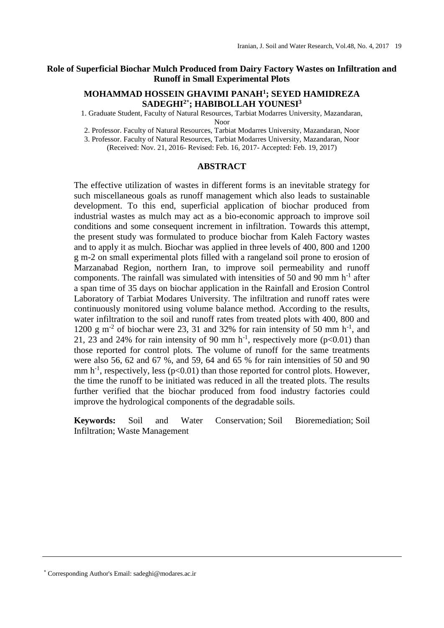## **Role of Superficial Biochar Mulch Produced from Dairy Factory Wastes on Infiltration and Runoff in Small Experimental Plots**

# **MOHAMMAD HOSSEIN GHAVIMI PANAH<sup>1</sup> ; SEYED HAMIDREZA SADEGHI2\* ; HABIBOLLAH YOUNESI<sup>3</sup>**

1. Graduate Student, Faculty of Natural Resources, Tarbiat Modarres University, Mazandaran, Noor

2. Professor. Faculty of Natural Resources, Tarbiat Modarres University, Mazandaran, Noor

3. Professor. Faculty of Natural Resources, Tarbiat Modarres University, Mazandaran, Noor

(Received: Nov. 21, 2016- Revised: Feb. 16, 2017- Accepted: Feb. 19, 2017)

## **ABSTRACT**

The effective utilization of wastes in different forms is an inevitable strategy for such miscellaneous goals as runoff management which also leads to sustainable development. To this end, superficial application of biochar produced from industrial wastes as mulch may act as a bio-economic approach to improve soil conditions and some consequent increment in infiltration. Towards this attempt, the present study was formulated to produce biochar from Kaleh Factory wastes and to apply it as mulch. Biochar was applied in three levels of 400, 800 and 1200 g m-2 on small experimental plots filled with a rangeland soil prone to erosion of Marzanabad Region, northern Iran, to improve soil permeability and runoff components. The rainfall was simulated with intensities of 50 and 90 mm  $h^{-1}$  after a span time of 35 days on biochar application in the Rainfall and Erosion Control Laboratory of Tarbiat Modares University. The infiltration and runoff rates were continuously monitored using volume balance method. According to the results, water infiltration to the soil and runoff rates from treated plots with 400, 800 and 1200 g m<sup>-2</sup> of biochar were 23, 31 and 32% for rain intensity of 50 mm h<sup>-1</sup>, and 21, 23 and 24% for rain intensity of 90 mm  $h^{-1}$ , respectively more (p<0.01) than those reported for control plots. The volume of runoff for the same treatments were also 56, 62 and 67 %, and 59, 64 and 65 % for rain intensities of 50 and 90 mm  $h^{-1}$ , respectively, less ( $p<0.01$ ) than those reported for control plots. However, the time the runoff to be initiated was reduced in all the treated plots. The results further verified that the biochar produced from food industry factories could improve the hydrological components of the degradable soils.

**Keywords:** Soil and Water Conservation; Soil Bioremediation; Soil Infiltration; Waste Management

\* Corresponding Author's Email: sadeghi@modares.ac.ir